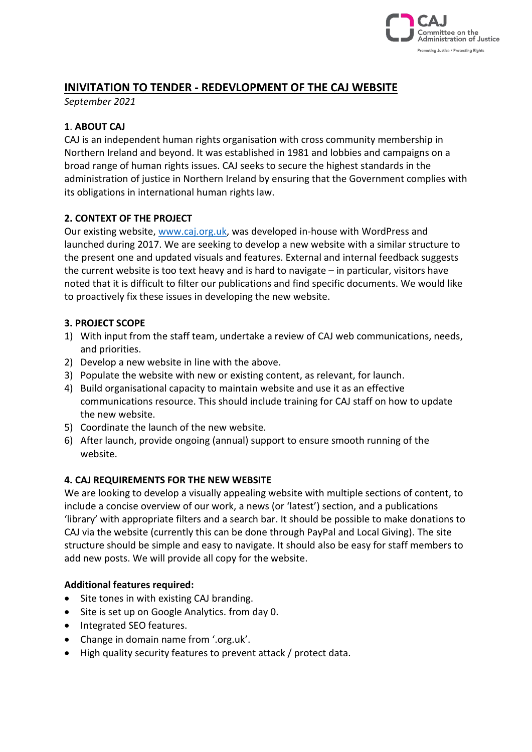

# **INIVITATION TO TENDER - REDEVLOPMENT OF THE CAJ WEBSITE**

*September 2021*

# **1**. **ABOUT CAJ**

CAJ is an independent human rights organisation with cross community membership in Northern Ireland and beyond. It was established in 1981 and lobbies and campaigns on a broad range of human rights issues. CAJ seeks to secure the highest standards in the administration of justice in Northern Ireland by ensuring that the Government complies with its obligations in international human rights law.

#### **2. CONTEXT OF THE PROJECT**

Our existing website, [www.caj.org.uk,](http://www.caj.org.uk/) was developed in-house with WordPress and launched during 2017. We are seeking to develop a new website with a similar structure to the present one and updated visuals and features. External and internal feedback suggests the current website is too text heavy and is hard to navigate – in particular, visitors have noted that it is difficult to filter our publications and find specific documents. We would like to proactively fix these issues in developing the new website.

#### **3. PROJECT SCOPE**

- 1) With input from the staff team, undertake a review of CAJ web communications, needs, and priorities.
- 2) Develop a new website in line with the above.
- 3) Populate the website with new or existing content, as relevant, for launch.
- 4) Build organisational capacity to maintain website and use it as an effective communications resource. This should include training for CAJ staff on how to update the new website.
- 5) Coordinate the launch of the new website.
- 6) After launch, provide ongoing (annual) support to ensure smooth running of the website.

#### **4. CAJ REQUIREMENTS FOR THE NEW WEBSITE**

We are looking to develop a visually appealing website with multiple sections of content, to include a concise overview of our work, a news (or 'latest') section, and a publications 'library' with appropriate filters and a search bar. It should be possible to make donations to CAJ via the website (currently this can be done through PayPal and Local Giving). The site structure should be simple and easy to navigate. It should also be easy for staff members to add new posts. We will provide all copy for the website.

#### **Additional features required:**

- Site tones in with existing CAJ branding.
- Site is set up on Google Analytics. from day 0.
- Integrated SEO features.
- Change in domain name from '.org.uk'.
- High quality security features to prevent attack / protect data.